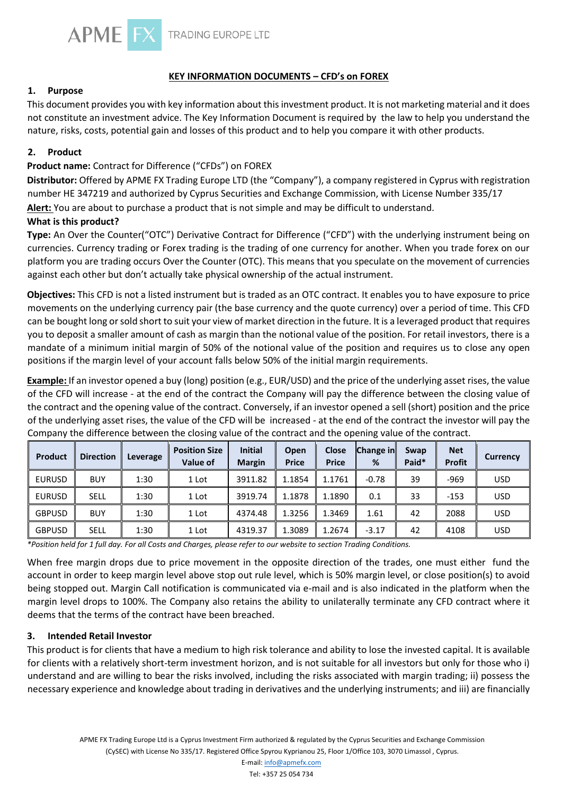

# **KEY INFORMATION DOCUMENTS – CFD's on FOREX**

# **1. Purpose**

This document provides you with key information about this investment product. It is not marketing material and it does not constitute an investment advice. The Key Information Document is required by the law to help you understand the nature, risks, costs, potential gain and losses of this product and to help you compare it with other products.

# **2. Product**

# **Product name:** Contract for Difference ("CFDs") on FOREX

**Distributor:** Offered by APME FX Trading Europe LTD (the "Company"), a company registered in Cyprus with registration number HE 347219 and authorized by Cyprus Securities and Exchange Commission, with License Number 335/17

**Alert:** You are about to purchase a product that is not simple and may be difficult to understand.

# **What is this product?**

**Type:** An Over the Counter("OTC") Derivative Contract for Difference ("CFD") with the underlying instrument being on currencies. Currency trading or Forex trading is the trading of one currency for another. When you trade forex on our platform you are trading occurs Over the Counter (OTC). This means that you speculate on the movement of currencies against each other but don't actually take physical ownership of the actual instrument.

**Objectives:** This CFD is not a listed instrument but is traded as an OTC contract. It enables you to have exposure to price movements on the underlying currency pair (the base currency and the quote currency) over a period of time. This CFD can be bought long or sold short to suit your view of market direction in the future. It is a leveraged product that requires you to deposit a smaller amount of cash as margin than the notional value of the position. For retail investors, there is a mandate of a minimum initial margin of 50% of the notional value of the position and requires us to close any open positions if the margin level of your account falls below 50% of the initial margin requirements.

**Example:** If an investor opened a buy (long) position (e.g., EUR/USD) and the price of the underlying asset rises, the value of the CFD will increase - at the end of the contract the Company will pay the difference between the closing value of the contract and the opening value of the contract. Conversely, if an investor opened a sell (short) position and the price of the underlying asset rises, the value of the CFD will be increased - at the end of the contract the investor will pay the Company the difference between the closing value of the contract and the opening value of the contract.

| Product       | <b>Direction</b> | Leverage | <b>Position Size</b><br>Value of | <b>Initial</b><br><b>Margin</b> | Open<br><b>Price</b> | <b>Close</b><br><b>Price</b> | <b>Change in</b><br>% | Swap<br>Paid* | <b>Net</b><br><b>Profit</b> | <b>Currency</b> |
|---------------|------------------|----------|----------------------------------|---------------------------------|----------------------|------------------------------|-----------------------|---------------|-----------------------------|-----------------|
| <b>EURUSD</b> | <b>BUY</b>       | 1:30     | 1 Lot                            | 3911.82                         | 1.1854               | 1.1761                       | $-0.78$               | 39            | $-969$                      | <b>USD</b>      |
| <b>EURUSD</b> | <b>SELL</b>      | 1:30     | 1 Lot                            | 3919.74                         | 1.1878               | 1.1890                       | 0.1                   | 33            | $-153$                      | <b>USD</b>      |
| <b>GBPUSD</b> | <b>BUY</b>       | 1:30     | 1 Lot                            | 4374.48                         | 1.3256               | 1.3469                       | 1.61                  | 42            | 2088                        | <b>USD</b>      |
| <b>GBPUSD</b> | <b>SELL</b>      | 1:30     | 1 Lot                            | 4319.37                         | 1.3089               | 1.2674                       | $-3.17$               | 42            | 4108                        | <b>USD</b>      |

*\*Position held for 1 full day. For all Costs and Charges, please refer to our website to section Trading Conditions.* 

When free margin drops due to price movement in the opposite direction of the trades, one must either fund the account in order to keep margin level above stop out rule level, which is 50% margin level, or close position(s) to avoid being stopped out. Margin Call notification is communicated via e-mail and is also indicated in the platform when the margin level drops to 100%. The Company also retains the ability to unilaterally terminate any CFD contract where it deems that the terms of the contract have been breached.

#### **3. Intended Retail Investor**

This product is for clients that have a medium to high risk tolerance and ability to lose the invested capital. It is available for clients with a relatively short-term investment horizon, and is not suitable for all investors but only for those who i) understand and are willing to bear the risks involved, including the risks associated with margin trading; ii) possess the necessary experience and knowledge about trading in derivatives and the underlying instruments; and iii) are financially

> APME FX Trading Europe Ltd is a Cyprus Investment Firm authorized & regulated by the Cyprus Securities and Exchange Commission (CySEC) with License No 335/17. Registered Office Spyrou Kyprianou 25, Floor 1/Office 103, 3070 Limassol , Cyprus.

> > E-mail: info@apmefx.com Tel: +357 25 054 734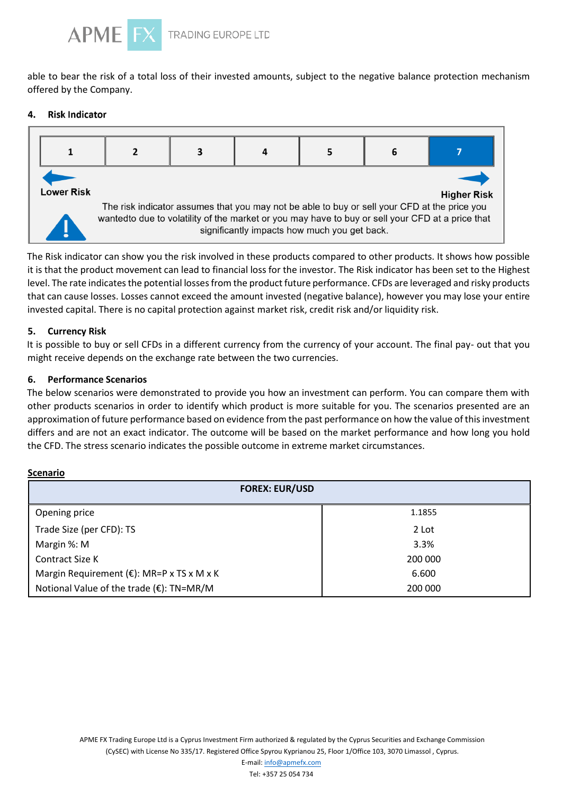

able to bear the risk of a total loss of their invested amounts, subject to the negative balance protection mechanism offered by the Company.

#### 4. **Risk Indicator**



The Risk indicator can show you the risk involved in these products compared to other products. It shows how possible it is that the product movement can lead to financial loss for the investor. The Risk indicator has been set to the Highest level. The rate indicates the potential losses from the product future performance. CFDs are leveraged and risky products that can cause losses. Losses cannot exceed the amount invested (negative balance), however you may lose your entire invested capital. There is no capital protection against market risk, credit risk and/or liquidity risk.

# **5. Currency Risk**

It is possible to buy or sell CFDs in a different currency from the currency of your account. The final pay- out that you might receive depends on the exchange rate between the two currencies.

# **6. Performance Scenarios**

The below scenarios were demonstrated to provide you how an investment can perform. You can compare them with other products scenarios in order to identify which product is more suitable for you. The scenarios presented are an approximation of future performance based on evidence from the past performance on how the value of this investment differs and are not an exact indicator. The outcome will be based on the market performance and how long you hold the CFD. The stress scenario indicates the possible outcome in extreme market circumstances.

#### **Scenario**

| <b>FOREX: EUR/USD</b>                                |         |  |  |  |
|------------------------------------------------------|---------|--|--|--|
| Opening price                                        | 1.1855  |  |  |  |
| Trade Size (per CFD): TS                             | 2 Lot   |  |  |  |
| Margin %: M                                          | 3.3%    |  |  |  |
| Contract Size K                                      | 200 000 |  |  |  |
| Margin Requirement ( $\epsilon$ ): MR=P x TS x M x K | 6.600   |  |  |  |
| Notional Value of the trade (€): TN=MR/M             | 200 000 |  |  |  |

APME FX Trading Europe Ltd is a Cyprus Investment Firm authorized & regulated by the Cyprus Securities and Exchange Commission (CySEC) with License No 335/17. Registered Office Spyrou Kyprianou 25, Floor 1/Office 103, 3070 Limassol , Cyprus.

> E-mail: info@apmefx.com Tel: +357 25 054 734